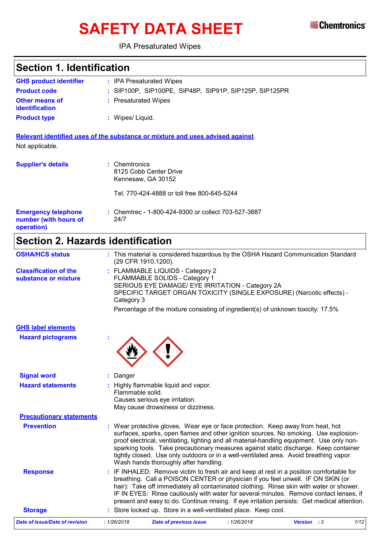

# **SAFETY DATA SHEET**

### IPA Presaturated Wipes

### **Section 1. Identification**

| <b>GHS product identifier</b>                       | : IPA Presaturated Wipes                                                                                     |
|-----------------------------------------------------|--------------------------------------------------------------------------------------------------------------|
| <b>Product code</b>                                 | : SIP100P, SIP100PE, SIP48P, SIP91P, SIP125P, SIP125PR                                                       |
| Other means of<br><b>identification</b>             | : Presaturated Wipes                                                                                         |
| <b>Product type</b>                                 | : Wipes/Liquid.                                                                                              |
| Not applicable.                                     | Relevant identified uses of the substance or mixture and uses advised against                                |
| <b>Supplier's details</b>                           | : Chemtronics<br>8125 Cobb Center Drive<br>Kennesaw, GA 30152<br>Tel. 770-424-4888 or toll free 800-645-5244 |
| <b>Emergency telephone</b><br>number (with hours of | : Chemtrec - 1-800-424-9300 or collect 703-527-3887<br>24/7                                                  |

**operation)**

## **Section 2. Hazards identification**

| <b>OSHA/HCS status</b>                               | (29 CFR 1910.1200). | : This material is considered hazardous by the OSHA Hazard Communication Standard                                                                                                                                                                                                                                                                                                                                                                                                                |            |                    |      |
|------------------------------------------------------|---------------------|--------------------------------------------------------------------------------------------------------------------------------------------------------------------------------------------------------------------------------------------------------------------------------------------------------------------------------------------------------------------------------------------------------------------------------------------------------------------------------------------------|------------|--------------------|------|
| <b>Classification of the</b><br>substance or mixture | Category 3          | : FLAMMABLE LIQUIDS - Category 2<br>FLAMMABLE SOLIDS - Category 1<br>SERIOUS EYE DAMAGE/ EYE IRRITATION - Category 2A<br>SPECIFIC TARGET ORGAN TOXICITY (SINGLE EXPOSURE) (Narcotic effects) -<br>Percentage of the mixture consisting of ingredient(s) of unknown toxicity: 17.5%                                                                                                                                                                                                               |            |                    |      |
| <b>GHS label elements</b>                            |                     |                                                                                                                                                                                                                                                                                                                                                                                                                                                                                                  |            |                    |      |
| <b>Hazard pictograms</b>                             |                     |                                                                                                                                                                                                                                                                                                                                                                                                                                                                                                  |            |                    |      |
| <b>Signal word</b>                                   | : Danger            |                                                                                                                                                                                                                                                                                                                                                                                                                                                                                                  |            |                    |      |
| <b>Hazard statements</b>                             | Flammable solid.    | : Highly flammable liquid and vapor.<br>Causes serious eye irritation.<br>May cause drowsiness or dizziness.                                                                                                                                                                                                                                                                                                                                                                                     |            |                    |      |
| <b>Precautionary statements</b>                      |                     |                                                                                                                                                                                                                                                                                                                                                                                                                                                                                                  |            |                    |      |
| <b>Prevention</b>                                    |                     | : Wear protective gloves. Wear eye or face protection. Keep away from heat, hot<br>surfaces, sparks, open flames and other ignition sources. No smoking. Use explosion-<br>proof electrical, ventilating, lighting and all material-handling equipment. Use only non-<br>sparking tools. Take precautionary measures against static discharge. Keep container<br>tightly closed. Use only outdoors or in a well-ventilated area. Avoid breathing vapor.<br>Wash hands thoroughly after handling. |            |                    |      |
| <b>Response</b>                                      |                     | : IF INHALED: Remove victim to fresh air and keep at rest in a position comfortable for<br>breathing. Call a POISON CENTER or physician if you feel unwell. IF ON SKIN (or<br>hair): Take off immediately all contaminated clothing. Rinse skin with water or shower.<br>IF IN EYES: Rinse cautiously with water for several minutes. Remove contact lenses, if<br>present and easy to do. Continue rinsing. If eye irritation persists: Get medical attention.                                  |            |                    |      |
| <b>Storage</b>                                       |                     | : Store locked up. Store in a well-ventilated place. Keep cool.                                                                                                                                                                                                                                                                                                                                                                                                                                  |            |                    |      |
| <b>Date of issue/Date of revision</b>                | : 1/26/2018         | <b>Date of previous issue</b>                                                                                                                                                                                                                                                                                                                                                                                                                                                                    | :1/26/2018 | <b>Version</b> : 3 | 1/12 |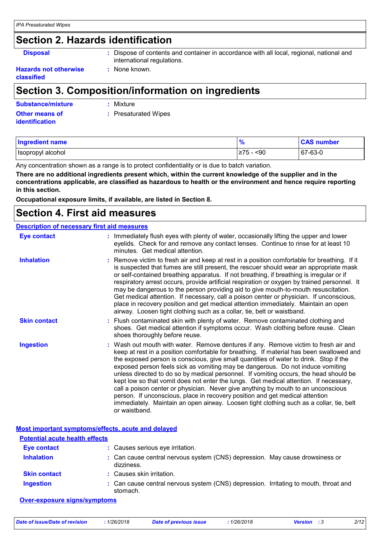### **Section 2. Hazards identification**

**Disposal :** Dispose of contents and container in accordance with all local, regional, national and international regulations.

#### **Hazards not otherwise classified**

### **Section 3. Composition/information on ingredients**

**:** None known.

| <b>Substance/mixture</b> | : Mixture            |
|--------------------------|----------------------|
| <b>Other means of</b>    | : Presaturated Wipes |
| <b>identification</b>    |                      |

| Ingredient name     | $\frac{9}{6}$ | <b>CAS number</b> |
|---------------------|---------------|-------------------|
| I Isopropyl alcohol | ≥75<br>$90$   | $ 67-63-0$        |

Any concentration shown as a range is to protect confidentiality or is due to batch variation.

**There are no additional ingredients present which, within the current knowledge of the supplier and in the concentrations applicable, are classified as hazardous to health or the environment and hence require reporting in this section.**

**Occupational exposure limits, if available, are listed in Section 8.**

### **Section 4. First aid measures**

#### **Description of necessary first aid measures**

| <b>Eye contact</b>  | : Immediately flush eyes with plenty of water, occasionally lifting the upper and lower<br>eyelids. Check for and remove any contact lenses. Continue to rinse for at least 10<br>minutes. Get medical attention.                                                                                                                                                                                                                                                                                                                                                                                                                                                                                                                                                                                                             |
|---------------------|-------------------------------------------------------------------------------------------------------------------------------------------------------------------------------------------------------------------------------------------------------------------------------------------------------------------------------------------------------------------------------------------------------------------------------------------------------------------------------------------------------------------------------------------------------------------------------------------------------------------------------------------------------------------------------------------------------------------------------------------------------------------------------------------------------------------------------|
| <b>Inhalation</b>   | : Remove victim to fresh air and keep at rest in a position comfortable for breathing. If it<br>is suspected that fumes are still present, the rescuer should wear an appropriate mask<br>or self-contained breathing apparatus. If not breathing, if breathing is irregular or if<br>respiratory arrest occurs, provide artificial respiration or oxygen by trained personnel. It<br>may be dangerous to the person providing aid to give mouth-to-mouth resuscitation.<br>Get medical attention. If necessary, call a poison center or physician. If unconscious,<br>place in recovery position and get medical attention immediately. Maintain an open<br>airway. Loosen tight clothing such as a collar, tie, belt or waistband.                                                                                          |
| <b>Skin contact</b> | : Flush contaminated skin with plenty of water. Remove contaminated clothing and<br>shoes. Get medical attention if symptoms occur. Wash clothing before reuse. Clean<br>shoes thoroughly before reuse.                                                                                                                                                                                                                                                                                                                                                                                                                                                                                                                                                                                                                       |
| <b>Ingestion</b>    | : Wash out mouth with water. Remove dentures if any. Remove victim to fresh air and<br>keep at rest in a position comfortable for breathing. If material has been swallowed and<br>the exposed person is conscious, give small quantities of water to drink. Stop if the<br>exposed person feels sick as vomiting may be dangerous. Do not induce vomiting<br>unless directed to do so by medical personnel. If vomiting occurs, the head should be<br>kept low so that vomit does not enter the lungs. Get medical attention. If necessary,<br>call a poison center or physician. Never give anything by mouth to an unconscious<br>person. If unconscious, place in recovery position and get medical attention<br>immediately. Maintain an open airway. Loosen tight clothing such as a collar, tie, belt<br>or waistband. |

**Most important symptoms/effects, acute and delayed Potential acute health effects**

| <b>Eye contact</b>  | : Causes serious eye irritation.                                                                 |
|---------------------|--------------------------------------------------------------------------------------------------|
| <b>Inhalation</b>   | : Can cause central nervous system (CNS) depression. May cause drowsiness or<br>dizziness.       |
| <b>Skin contact</b> | : Causes skin irritation.                                                                        |
| <b>Ingestion</b>    | : Can cause central nervous system (CNS) depression. Irritating to mouth, throat and<br>stomach. |

#### **Over-exposure signs/symptoms**

| Date of issue/Date of revision | 1/26/2018 | <b>Date of previous issue</b> | 1/26/2018 | <b>Version</b> : 3 | 2/12 |
|--------------------------------|-----------|-------------------------------|-----------|--------------------|------|
|                                |           |                               |           |                    |      |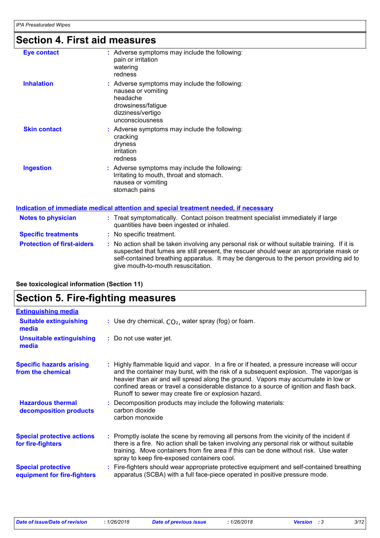# **Section 4. First aid measures**

| <b>Eye contact</b>                | : Adverse symptoms may include the following:<br>pain or irritation<br>watering<br>redness                                                                                                                                                                                                                              |  |
|-----------------------------------|-------------------------------------------------------------------------------------------------------------------------------------------------------------------------------------------------------------------------------------------------------------------------------------------------------------------------|--|
| <b>Inhalation</b>                 | : Adverse symptoms may include the following:<br>nausea or vomiting<br>headache<br>drowsiness/fatigue<br>dizziness/vertigo<br>unconsciousness                                                                                                                                                                           |  |
| <b>Skin contact</b>               | : Adverse symptoms may include the following:<br>cracking<br>dryness<br>irritation<br>redness                                                                                                                                                                                                                           |  |
| <b>Ingestion</b>                  | : Adverse symptoms may include the following:<br>Irritating to mouth, throat and stomach.<br>nausea or vomiting<br>stomach pains                                                                                                                                                                                        |  |
|                                   | <u>Indication of immediate medical attention and special treatment needed, if necessary</u>                                                                                                                                                                                                                             |  |
| <b>Notes to physician</b>         | : Treat symptomatically. Contact poison treatment specialist immediately if large<br>quantities have been ingested or inhaled.                                                                                                                                                                                          |  |
| <b>Specific treatments</b>        | : No specific treatment.                                                                                                                                                                                                                                                                                                |  |
| <b>Protection of first-aiders</b> | : No action shall be taken involving any personal risk or without suitable training. If it is<br>suspected that fumes are still present, the rescuer should wear an appropriate mask or<br>self-contained breathing apparatus. It may be dangerous to the person providing aid to<br>give mouth-to-mouth resuscitation. |  |

| <b>Section 5. Fire-fighting measures</b> |  |  |  |
|------------------------------------------|--|--|--|
|------------------------------------------|--|--|--|

**See toxicological information (Section 11)**

| <b>Extinguishing media</b>                               |                                                                                                                                                                                                                                                                                                                                                                                                                                 |
|----------------------------------------------------------|---------------------------------------------------------------------------------------------------------------------------------------------------------------------------------------------------------------------------------------------------------------------------------------------------------------------------------------------------------------------------------------------------------------------------------|
| <b>Suitable extinguishing</b><br>media                   | : Use dry chemical, $CO2$ , water spray (fog) or foam.                                                                                                                                                                                                                                                                                                                                                                          |
| <b>Unsuitable extinguishing</b><br>media                 | : Do not use water jet.                                                                                                                                                                                                                                                                                                                                                                                                         |
| <b>Specific hazards arising</b><br>from the chemical     | : Highly flammable liquid and vapor. In a fire or if heated, a pressure increase will occur<br>and the container may burst, with the risk of a subsequent explosion. The vapor/gas is<br>heavier than air and will spread along the ground. Vapors may accumulate in low or<br>confined areas or travel a considerable distance to a source of ignition and flash back.<br>Runoff to sewer may create fire or explosion hazard. |
| <b>Hazardous thermal</b><br>decomposition products       | Decomposition products may include the following materials:<br>carbon dioxide<br>carbon monoxide                                                                                                                                                                                                                                                                                                                                |
| <b>Special protective actions</b><br>for fire-fighters   | : Promptly isolate the scene by removing all persons from the vicinity of the incident if<br>there is a fire. No action shall be taken involving any personal risk or without suitable<br>training. Move containers from fire area if this can be done without risk. Use water<br>spray to keep fire-exposed containers cool.                                                                                                   |
| <b>Special protective</b><br>equipment for fire-fighters | Fire-fighters should wear appropriate protective equipment and self-contained breathing<br>apparatus (SCBA) with a full face-piece operated in positive pressure mode.                                                                                                                                                                                                                                                          |
|                                                          |                                                                                                                                                                                                                                                                                                                                                                                                                                 |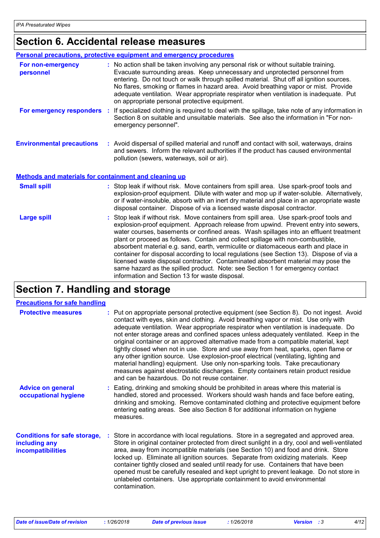# **Section 6. Accidental release measures**

|                                                              | <b>Personal precautions, protective equipment and emergency procedures</b>                                                                                                                                                                                                                                                                                                                                                                                                                                                                                                                                                                                                                                                                                           |
|--------------------------------------------------------------|----------------------------------------------------------------------------------------------------------------------------------------------------------------------------------------------------------------------------------------------------------------------------------------------------------------------------------------------------------------------------------------------------------------------------------------------------------------------------------------------------------------------------------------------------------------------------------------------------------------------------------------------------------------------------------------------------------------------------------------------------------------------|
| For non-emergency<br>personnel                               | : No action shall be taken involving any personal risk or without suitable training.<br>Evacuate surrounding areas. Keep unnecessary and unprotected personnel from<br>entering. Do not touch or walk through spilled material. Shut off all ignition sources.<br>No flares, smoking or flames in hazard area. Avoid breathing vapor or mist. Provide<br>adequate ventilation. Wear appropriate respirator when ventilation is inadequate. Put<br>on appropriate personal protective equipment.                                                                                                                                                                                                                                                                      |
| For emergency responders                                     | : If specialized clothing is required to deal with the spillage, take note of any information in<br>Section 8 on suitable and unsuitable materials. See also the information in "For non-<br>emergency personnel".                                                                                                                                                                                                                                                                                                                                                                                                                                                                                                                                                   |
| <b>Environmental precautions</b>                             | : Avoid dispersal of spilled material and runoff and contact with soil, waterways, drains<br>and sewers. Inform the relevant authorities if the product has caused environmental<br>pollution (sewers, waterways, soil or air).                                                                                                                                                                                                                                                                                                                                                                                                                                                                                                                                      |
| <b>Methods and materials for containment and cleaning up</b> |                                                                                                                                                                                                                                                                                                                                                                                                                                                                                                                                                                                                                                                                                                                                                                      |
| <b>Small spill</b>                                           | : Stop leak if without risk. Move containers from spill area. Use spark-proof tools and<br>explosion-proof equipment. Dilute with water and mop up if water-soluble. Alternatively,<br>or if water-insoluble, absorb with an inert dry material and place in an appropriate waste<br>disposal container. Dispose of via a licensed waste disposal contractor.                                                                                                                                                                                                                                                                                                                                                                                                        |
| <b>Large spill</b>                                           | : Stop leak if without risk. Move containers from spill area. Use spark-proof tools and<br>explosion-proof equipment. Approach release from upwind. Prevent entry into sewers,<br>water courses, basements or confined areas. Wash spillages into an effluent treatment<br>plant or proceed as follows. Contain and collect spillage with non-combustible,<br>absorbent material e.g. sand, earth, vermiculite or diatomaceous earth and place in<br>container for disposal according to local regulations (see Section 13). Dispose of via a<br>licensed waste disposal contractor. Contaminated absorbent material may pose the<br>same hazard as the spilled product. Note: see Section 1 for emergency contact<br>information and Section 13 for waste disposal. |

### **Section 7. Handling and storage**

| <b>Precautions for safe handling</b>                                      |                                                                                                                                                                                                                                                                                                                                                                                                                                                                                                                                                                                                                                                                                                                                                                                                                                                               |
|---------------------------------------------------------------------------|---------------------------------------------------------------------------------------------------------------------------------------------------------------------------------------------------------------------------------------------------------------------------------------------------------------------------------------------------------------------------------------------------------------------------------------------------------------------------------------------------------------------------------------------------------------------------------------------------------------------------------------------------------------------------------------------------------------------------------------------------------------------------------------------------------------------------------------------------------------|
| <b>Protective measures</b>                                                | : Put on appropriate personal protective equipment (see Section 8). Do not ingest. Avoid<br>contact with eyes, skin and clothing. Avoid breathing vapor or mist. Use only with<br>adequate ventilation. Wear appropriate respirator when ventilation is inadequate. Do<br>not enter storage areas and confined spaces unless adequately ventilated. Keep in the<br>original container or an approved alternative made from a compatible material, kept<br>tightly closed when not in use. Store and use away from heat, sparks, open flame or<br>any other ignition source. Use explosion-proof electrical (ventilating, lighting and<br>material handling) equipment. Use only non-sparking tools. Take precautionary<br>measures against electrostatic discharges. Empty containers retain product residue<br>and can be hazardous. Do not reuse container. |
| <b>Advice on general</b><br>occupational hygiene                          | : Eating, drinking and smoking should be prohibited in areas where this material is<br>handled, stored and processed. Workers should wash hands and face before eating,<br>drinking and smoking. Remove contaminated clothing and protective equipment before<br>entering eating areas. See also Section 8 for additional information on hygiene<br>measures.                                                                                                                                                                                                                                                                                                                                                                                                                                                                                                 |
| <b>Conditions for safe storage,</b><br>including any<br>incompatibilities | Store in accordance with local regulations. Store in a segregated and approved area.<br>Store in original container protected from direct sunlight in a dry, cool and well-ventilated<br>area, away from incompatible materials (see Section 10) and food and drink. Store<br>locked up. Eliminate all ignition sources. Separate from oxidizing materials. Keep<br>container tightly closed and sealed until ready for use. Containers that have been<br>opened must be carefully resealed and kept upright to prevent leakage. Do not store in<br>unlabeled containers. Use appropriate containment to avoid environmental<br>contamination.                                                                                                                                                                                                                |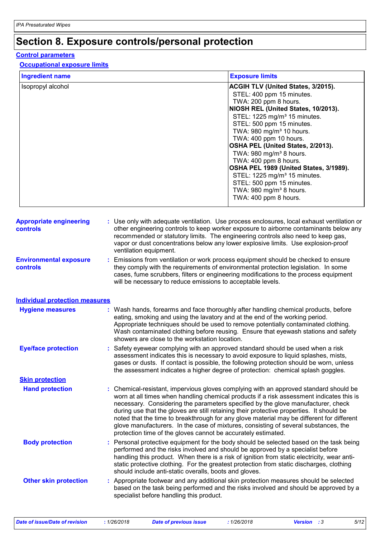## **Section 8. Exposure controls/personal protection**

#### **Control parameters**

#### **Occupational exposure limits**

| <b>Ingredient name</b>                            | <b>Exposure limits</b>                                                                                                                                                                                                                                                                                                                                                                                                                                                                                                                                                                                                 |
|---------------------------------------------------|------------------------------------------------------------------------------------------------------------------------------------------------------------------------------------------------------------------------------------------------------------------------------------------------------------------------------------------------------------------------------------------------------------------------------------------------------------------------------------------------------------------------------------------------------------------------------------------------------------------------|
| Isopropyl alcohol                                 | ACGIH TLV (United States, 3/2015).<br>STEL: 400 ppm 15 minutes.<br>TWA: 200 ppm 8 hours.<br>NIOSH REL (United States, 10/2013).<br>STEL: 1225 mg/m <sup>3</sup> 15 minutes.<br>STEL: 500 ppm 15 minutes.<br>TWA: 980 mg/m <sup>3</sup> 10 hours.<br>TWA: 400 ppm 10 hours.<br>OSHA PEL (United States, 2/2013).<br>TWA: 980 mg/m <sup>3</sup> 8 hours.<br>TWA: 400 ppm 8 hours.<br>OSHA PEL 1989 (United States, 3/1989).<br>STEL: 1225 mg/m <sup>3</sup> 15 minutes.<br>STEL: 500 ppm 15 minutes.<br>TWA: 980 mg/m <sup>3</sup> 8 hours.<br>TWA: 400 ppm 8 hours.                                                     |
| <b>Appropriate engineering</b><br><b>controls</b> | : Use only with adequate ventilation. Use process enclosures, local exhaust ventilation or<br>other engineering controls to keep worker exposure to airborne contaminants below any<br>recommended or statutory limits. The engineering controls also need to keep gas,<br>vapor or dust concentrations below any lower explosive limits. Use explosion-proof<br>ventilation equipment.                                                                                                                                                                                                                                |
| <b>Environmental exposure</b><br><b>controls</b>  | : Emissions from ventilation or work process equipment should be checked to ensure<br>they comply with the requirements of environmental protection legislation. In some<br>cases, fume scrubbers, filters or engineering modifications to the process equipment<br>will be necessary to reduce emissions to acceptable levels.                                                                                                                                                                                                                                                                                        |
| <b>Individual protection measures</b>             |                                                                                                                                                                                                                                                                                                                                                                                                                                                                                                                                                                                                                        |
| <b>Hygiene measures</b>                           | : Wash hands, forearms and face thoroughly after handling chemical products, before<br>eating, smoking and using the lavatory and at the end of the working period.<br>Appropriate techniques should be used to remove potentially contaminated clothing.<br>Wash contaminated clothing before reusing. Ensure that eyewash stations and safety<br>showers are close to the workstation location.                                                                                                                                                                                                                      |
| <b>Eye/face protection</b>                        | : Safety eyewear complying with an approved standard should be used when a risk<br>assessment indicates this is necessary to avoid exposure to liquid splashes, mists,<br>gases or dusts. If contact is possible, the following protection should be worn, unless<br>the assessment indicates a higher degree of protection: chemical splash goggles.                                                                                                                                                                                                                                                                  |
| <b>Skin protection</b>                            |                                                                                                                                                                                                                                                                                                                                                                                                                                                                                                                                                                                                                        |
| <b>Hand protection</b>                            | : Chemical-resistant, impervious gloves complying with an approved standard should be<br>worn at all times when handling chemical products if a risk assessment indicates this is<br>necessary. Considering the parameters specified by the glove manufacturer, check<br>during use that the gloves are still retaining their protective properties. It should be<br>noted that the time to breakthrough for any glove material may be different for different<br>glove manufacturers. In the case of mixtures, consisting of several substances, the<br>protection time of the gloves cannot be accurately estimated. |
| <b>Body protection</b>                            | : Personal protective equipment for the body should be selected based on the task being<br>performed and the risks involved and should be approved by a specialist before<br>handling this product. When there is a risk of ignition from static electricity, wear anti-<br>static protective clothing. For the greatest protection from static discharges, clothing<br>should include anti-static overalls, boots and gloves.                                                                                                                                                                                         |
| <b>Other skin protection</b>                      | : Appropriate footwear and any additional skin protection measures should be selected<br>based on the task being performed and the risks involved and should be approved by a<br>specialist before handling this product.                                                                                                                                                                                                                                                                                                                                                                                              |

*Date of issue/Date of revision* **:** *1/26/2018 Date of previous issue : 1/26/2018 Version : 3 5/12*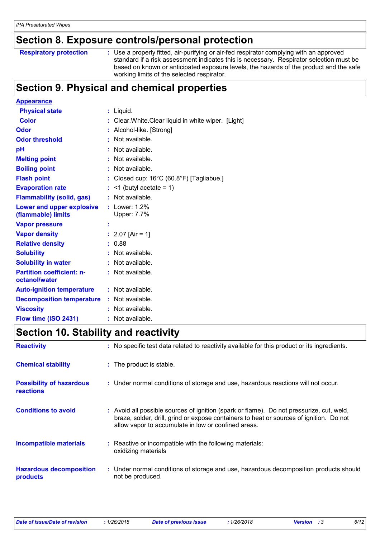### **Section 8. Exposure controls/personal protection**

|  | <b>Respiratory protection</b> |
|--|-------------------------------|
|  |                               |

**Respiratory protection** : Use a properly fitted, air-purifying or air-fed respirator complying with an approved standard if a risk assessment indicates this is necessary. Respirator selection must be based on known or anticipated exposure levels, the hazards of the product and the safe working limits of the selected respirator.

### **Section 9. Physical and chemical properties**

| <b>Appearance</b>                                 |   |                                                    |
|---------------------------------------------------|---|----------------------------------------------------|
| <b>Physical state</b>                             |   | : Liquid.                                          |
| <b>Color</b>                                      |   | Clear. White. Clear liquid in white wiper. [Light] |
| Odor                                              |   | Alcohol-like. [Strong]                             |
| <b>Odor threshold</b>                             |   | Not available.                                     |
| рH                                                |   | Not available.                                     |
| <b>Melting point</b>                              |   | Not available.                                     |
| <b>Boiling point</b>                              |   | Not available.                                     |
| <b>Flash point</b>                                |   | Closed cup: 16°C (60.8°F) [Tagliabue.]             |
| <b>Evaporation rate</b>                           |   | $\leq$ 1 (butyl acetate = 1)                       |
| <b>Flammability (solid, gas)</b>                  |   | Not available.                                     |
| Lower and upper explosive<br>(flammable) limits   | t | Lower: 1.2%<br>Upper: 7.7%                         |
| <b>Vapor pressure</b>                             | Ì |                                                    |
| <b>Vapor density</b>                              |   | 2.07 [Air = 1]                                     |
| <b>Relative density</b>                           |   | 0.88                                               |
| <b>Solubility</b>                                 |   | Not available.                                     |
| <b>Solubility in water</b>                        |   | Not available.                                     |
| <b>Partition coefficient: n-</b><br>octanol/water |   | : Not available.                                   |
| <b>Auto-ignition temperature</b>                  |   | : Not available.                                   |
| <b>Decomposition temperature</b>                  |   | $:$ Not available.                                 |
| <b>Viscosity</b>                                  |   | Not available.                                     |
| Flow time (ISO 2431)                              |   | Not available.                                     |

### **Section 10. Stability and reactivity**

| <b>Reactivity</b>                                   | : No specific test data related to reactivity available for this product or its ingredients.                                                                                                                                               |  |
|-----------------------------------------------------|--------------------------------------------------------------------------------------------------------------------------------------------------------------------------------------------------------------------------------------------|--|
| <b>Chemical stability</b>                           | : The product is stable.                                                                                                                                                                                                                   |  |
| <b>Possibility of hazardous</b><br><b>reactions</b> | : Under normal conditions of storage and use, hazardous reactions will not occur.                                                                                                                                                          |  |
| <b>Conditions to avoid</b>                          | : Avoid all possible sources of ignition (spark or flame). Do not pressurize, cut, weld,<br>braze, solder, drill, grind or expose containers to heat or sources of ignition. Do not<br>allow vapor to accumulate in low or confined areas. |  |
| <b>Incompatible materials</b>                       | : Reactive or incompatible with the following materials:<br>oxidizing materials                                                                                                                                                            |  |
| <b>Hazardous decomposition</b><br><b>products</b>   | : Under normal conditions of storage and use, hazardous decomposition products should<br>not be produced.                                                                                                                                  |  |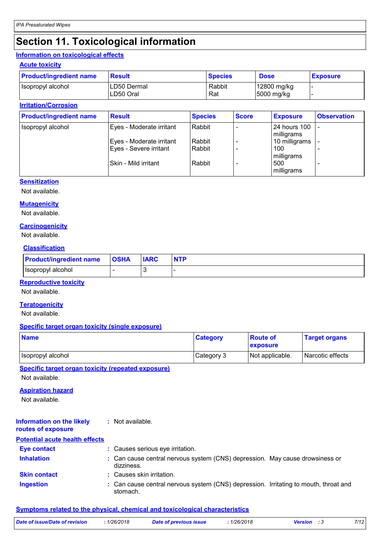### **Section 11. Toxicological information**

#### **Information on toxicological effects**

#### **Acute toxicity**

| <b>Product/ingredient name</b> | <b>Result</b>            | <b>Species</b> | <b>Dose</b>               | <b>Exposure</b> |
|--------------------------------|--------------------------|----------------|---------------------------|-----------------|
| Isopropyl alcohol              | LD50 Dermal<br>LD50 Oral | Rabbit<br>Rat  | 12800 mg/kg<br>5000 mg/kg |                 |
|                                |                          |                |                           |                 |

#### **Irritation/Corrosion**

| <b>Product/ingredient name</b> | <b>Result</b>                                      | <b>Species</b>   | <b>Score</b> | <b>Exposure</b>                 | <b>Observation</b> |
|--------------------------------|----------------------------------------------------|------------------|--------------|---------------------------------|--------------------|
| Isopropyl alcohol              | Eyes - Moderate irritant                           | Rabbit           |              | 24 hours 100<br>milligrams      |                    |
|                                | Eyes - Moderate irritant<br>Eyes - Severe irritant | Rabbit<br>Rabbit |              | 10 milligrams<br>100            |                    |
|                                | Skin - Mild irritant                               | Rabbit           |              | milligrams<br>500<br>milligrams |                    |

#### **Sensitization**

Not available.

#### **Mutagenicity**

Not available.

#### **Carcinogenicity**

Not available.

#### **Classification**

| <b>Product/ingredient name</b> | <b>OSHA</b> | <b>IARC</b> | <b>NTP</b> |
|--------------------------------|-------------|-------------|------------|
| Isopropyl alcohol              | -           | v           |            |

#### **Reproductive toxicity**

Not available.

#### **Teratogenicity**

Not available.

#### **Specific target organ toxicity (single exposure)**

| <b>Name</b>       | <b>Category</b> | <b>Route of</b><br>exposure | <b>Target organs</b> |
|-------------------|-----------------|-----------------------------|----------------------|
| Isopropyl alcohol | Category 3      | Not applicable.             | Narcotic effects     |

#### **Specific target organ toxicity (repeated exposure)**

Not available.

#### **Aspiration hazard**

Not available.

#### **Information on the likely routes of exposure :** Not available.

#### **Potential acute health effects**

| <b>Eye contact</b>  | : Causes serious eye irritation.                                                                 |
|---------------------|--------------------------------------------------------------------------------------------------|
| <b>Inhalation</b>   | : Can cause central nervous system (CNS) depression. May cause drowsiness or<br>dizziness.       |
| <b>Skin contact</b> | : Causes skin irritation.                                                                        |
| <b>Ingestion</b>    | : Can cause central nervous system (CNS) depression. Irritating to mouth, throat and<br>stomach. |

#### **Symptoms related to the physical, chemical and toxicological characteristics**

| Date of issue/Date of revision | : 1/26/2018 | <b>Date of previous issue</b> | .1/26/2018 | <b>Version</b> : 3 | 7/12 |
|--------------------------------|-------------|-------------------------------|------------|--------------------|------|
|                                |             |                               |            |                    |      |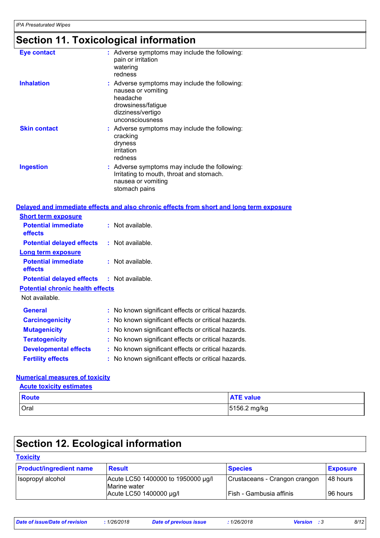# **Section 11. Toxicological information**

| <b>Eye contact</b>                      | : Adverse symptoms may include the following:<br>pain or irritation<br>watering<br>redness                                                    |
|-----------------------------------------|-----------------------------------------------------------------------------------------------------------------------------------------------|
| <b>Inhalation</b>                       | : Adverse symptoms may include the following:<br>nausea or vomiting<br>headache<br>drowsiness/fatigue<br>dizziness/vertigo<br>unconsciousness |
| <b>Skin contact</b>                     | : Adverse symptoms may include the following:<br>cracking<br>dryness<br>irritation<br>redness                                                 |
| <b>Ingestion</b>                        | : Adverse symptoms may include the following:<br>Irritating to mouth, throat and stomach.<br>nausea or vomiting<br>stomach pains              |
|                                         | Delayed and immediate effects and also chronic effects from short and long term exposure                                                      |
| <b>Short term exposure</b>              |                                                                                                                                               |
| <b>Potential immediate</b><br>effects   | : Not available.                                                                                                                              |
| <b>Potential delayed effects</b>        | $:$ Not available.                                                                                                                            |
| <b>Long term exposure</b>               |                                                                                                                                               |
| <b>Potential immediate</b><br>effects   | : Not available.                                                                                                                              |
| <b>Potential delayed effects</b>        | $:$ Not available.                                                                                                                            |
| <b>Potential chronic health effects</b> |                                                                                                                                               |
| Not available.                          |                                                                                                                                               |
| <b>General</b>                          | : No known significant effects or critical hazards.                                                                                           |
| <b>Carcinogenicity</b>                  | : No known significant effects or critical hazards.                                                                                           |
| <b>Mutagenicity</b>                     | : No known significant effects or critical hazards.                                                                                           |
| <b>Teratogenicity</b>                   | : No known significant effects or critical hazards.                                                                                           |
| <b>Developmental effects</b>            | : No known significant effects or critical hazards.                                                                                           |
| <b>Fertility effects</b>                | : No known significant effects or critical hazards.                                                                                           |
|                                         |                                                                                                                                               |

#### **Numerical measures of toxicity**

| <b>Acute toxicity estimates</b> |                  |  |  |
|---------------------------------|------------------|--|--|
| <b>Route</b>                    | <b>ATE value</b> |  |  |
| Oral                            | 5156.2 mg/kg     |  |  |

### **Section 12. Ecological information**

| <b>Toxicity</b>                |                                                    |                               |                 |
|--------------------------------|----------------------------------------------------|-------------------------------|-----------------|
| <b>Product/ingredient name</b> | <b>Result</b>                                      | <b>Species</b>                | <b>Exposure</b> |
| Isopropyl alcohol              | Acute LC50 1400000 to 1950000 µg/l<br>Marine water | Crustaceans - Crangon crangon | 48 hours        |
|                                | Acute LC50 1400000 µg/l                            | Fish - Gambusia affinis       | 96 hours        |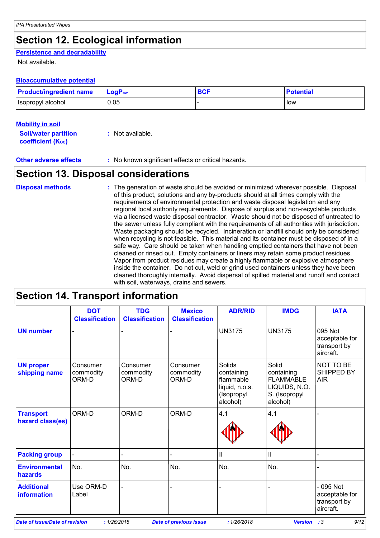### **Section 12. Ecological information**

### **Persistence and degradability**

Not available.

#### **Bioaccumulative potential**

| <b>Product/ingredient name</b> | LogP <sub>ow</sub> | <b>BCF</b> | <b>Potential</b> |
|--------------------------------|--------------------|------------|------------------|
| Isopropyl alcohol              | 0.05               |            | low              |

#### **Mobility in soil**

| <b>Soil/water partition</b>    | : Not available. |
|--------------------------------|------------------|
| coefficient (K <sub>oc</sub> ) |                  |

**Other adverse effects** : No known significant effects or critical hazards.

### **Section 13. Disposal considerations**

| <b>Disposal methods</b> | : The generation of waste should be avoided or minimized wherever possible. Disposal<br>of this product, solutions and any by-products should at all times comply with the<br>requirements of environmental protection and waste disposal legislation and any<br>regional local authority requirements. Dispose of surplus and non-recyclable products<br>via a licensed waste disposal contractor. Waste should not be disposed of untreated to<br>the sewer unless fully compliant with the requirements of all authorities with jurisdiction.<br>Waste packaging should be recycled. Incineration or landfill should only be considered<br>when recycling is not feasible. This material and its container must be disposed of in a<br>safe way. Care should be taken when handling emptied containers that have not been<br>cleaned or rinsed out. Empty containers or liners may retain some product residues.<br>Vapor from product residues may create a highly flammable or explosive atmosphere<br>inside the container. Do not cut, weld or grind used containers unless they have been<br>cleaned thoroughly internally. Avoid dispersal of spilled material and runoff and contact |
|-------------------------|------------------------------------------------------------------------------------------------------------------------------------------------------------------------------------------------------------------------------------------------------------------------------------------------------------------------------------------------------------------------------------------------------------------------------------------------------------------------------------------------------------------------------------------------------------------------------------------------------------------------------------------------------------------------------------------------------------------------------------------------------------------------------------------------------------------------------------------------------------------------------------------------------------------------------------------------------------------------------------------------------------------------------------------------------------------------------------------------------------------------------------------------------------------------------------------------|
|                         | with soil, waterways, drains and sewers.                                                                                                                                                                                                                                                                                                                                                                                                                                                                                                                                                                                                                                                                                                                                                                                                                                                                                                                                                                                                                                                                                                                                                       |

### **Section 14. Transport information**

|                                      | <b>DOT</b><br><b>Classification</b> | <b>TDG</b><br><b>Classification</b> | <b>Mexico</b><br><b>Classification</b> | <b>ADR/RID</b>                                                                | <b>IMDG</b>                                                                           | <b>IATA</b>                                               |
|--------------------------------------|-------------------------------------|-------------------------------------|----------------------------------------|-------------------------------------------------------------------------------|---------------------------------------------------------------------------------------|-----------------------------------------------------------|
| <b>UN number</b>                     |                                     |                                     |                                        | <b>UN3175</b>                                                                 | <b>UN3175</b>                                                                         | 095 Not<br>acceptable for<br>transport by<br>aircraft.    |
| <b>UN proper</b><br>shipping name    | Consumer<br>commodity<br>ORM-D      | Consumer<br>commodity<br>ORM-D      | Consumer<br>commodity<br>ORM-D         | Solids<br>containing<br>flammable<br>liquid, n.o.s.<br>(Isopropyl<br>alcohol) | Solid<br>containing<br><b>FLAMMABLE</b><br>LIQUIDS, N.O.<br>S. (Isopropyl<br>alcohol) | NOT TO BE<br>SHIPPED BY<br><b>AIR</b>                     |
| <b>Transport</b><br>hazard class(es) | ORM-D                               | ORM-D                               | ORM-D                                  | 4.1                                                                           | 4.1                                                                                   |                                                           |
| <b>Packing group</b>                 |                                     |                                     |                                        | $\ensuremath{\mathsf{II}}$                                                    | $\mathbf{I}$                                                                          |                                                           |
| <b>Environmental</b><br>hazards      | No.                                 | No.                                 | No.                                    | No.                                                                           | No.                                                                                   |                                                           |
| <b>Additional</b><br>information     | Use ORM-D<br>Label                  |                                     |                                        |                                                                               |                                                                                       | $-095$ Not<br>acceptable for<br>transport by<br>aircraft. |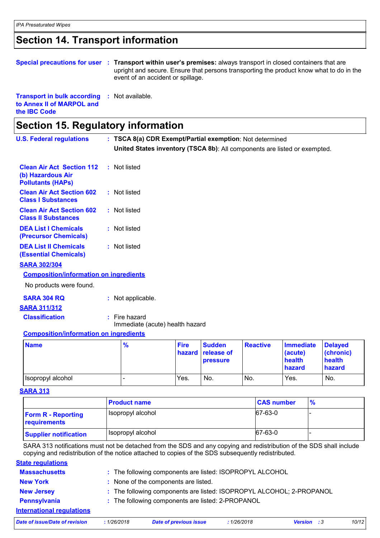### **Section 14. Transport information**

|                                                                                                  | Special precautions for user : Transport within user's premises: always transport in closed containers that are<br>upright and secure. Ensure that persons transporting the product know what to do in the<br>event of an accident or spillage. |
|--------------------------------------------------------------------------------------------------|-------------------------------------------------------------------------------------------------------------------------------------------------------------------------------------------------------------------------------------------------|
| <b>Transport in bulk according : Not available.</b><br>to Annex II of MARPOL and<br>the IBC Code |                                                                                                                                                                                                                                                 |

| <b>Section 15. Regulatory information</b>                                         |                                                                           |             |               |                 |                  |                |
|-----------------------------------------------------------------------------------|---------------------------------------------------------------------------|-------------|---------------|-----------------|------------------|----------------|
| <b>U.S. Federal regulations</b>                                                   | : TSCA 8(a) CDR Exempt/Partial exemption: Not determined                  |             |               |                 |                  |                |
|                                                                                   | United States inventory (TSCA 8b): All components are listed or exempted. |             |               |                 |                  |                |
| <b>Clean Air Act Section 112</b><br>(b) Hazardous Air<br><b>Pollutants (HAPs)</b> | : Not listed                                                              |             |               |                 |                  |                |
| <b>Clean Air Act Section 602</b><br><b>Class I Substances</b>                     | : Not listed                                                              |             |               |                 |                  |                |
| <b>Clean Air Act Section 602</b><br><b>Class II Substances</b>                    | : Not listed                                                              |             |               |                 |                  |                |
| <b>DEA List I Chemicals</b><br><b>(Precursor Chemicals)</b>                       | : Not listed                                                              |             |               |                 |                  |                |
| <b>DEA List II Chemicals</b><br><b>(Essential Chemicals)</b>                      | : Not listed                                                              |             |               |                 |                  |                |
| <b>SARA 302/304</b>                                                               |                                                                           |             |               |                 |                  |                |
| <b>Composition/information on ingredients</b>                                     |                                                                           |             |               |                 |                  |                |
| No products were found.                                                           |                                                                           |             |               |                 |                  |                |
| <b>SARA 304 RQ</b>                                                                | : Not applicable.                                                         |             |               |                 |                  |                |
| <b>SARA 311/312</b>                                                               |                                                                           |             |               |                 |                  |                |
| <b>Classification</b>                                                             | $:$ Fire hazard<br>Immediate (acute) health hazard                        |             |               |                 |                  |                |
| <b>Composition/information on ingredients</b>                                     |                                                                           |             |               |                 |                  |                |
| <b>Name</b>                                                                       | %                                                                         | <b>Fire</b> | <b>Sudden</b> | <b>Reactive</b> | <b>Immediate</b> | <b>Delayed</b> |

| <b>Name</b>         | $\frac{9}{6}$ | <b>Fire</b> | <b>Sudden</b>     | <b>Reactive</b> | Immediate | <b>Delaved</b> |
|---------------------|---------------|-------------|-------------------|-----------------|-----------|----------------|
|                     |               |             | hazard release of |                 | (acute)   | (chronic)      |
|                     |               |             | <b>pressure</b>   |                 | health    | health         |
|                     |               |             |                   |                 | hazard    | hazard         |
| I Isopropyl alcohol |               | Yes.        | No.               | No.             | Yes.      | No.            |

#### **SARA 313**

|                                           | <b>Product name</b> | <b>CAS number</b> | $\frac{1}{2}$ |
|-------------------------------------------|---------------------|-------------------|---------------|
| <b>Form R - Reporting</b><br>requirements | Isopropyl alcohol   | 67-63-0           |               |
| <b>Supplier notification</b>              | Isopropyl alcohol   | 67-63-0           |               |

SARA 313 notifications must not be detached from the SDS and any copying and redistribution of the SDS shall include copying and redistribution of the notice attached to copies of the SDS subsequently redistributed.

| <b>Date of issue/Date of revision</b> | :1/26/2018 | <b>Date of previous issue</b>                                        | :1/26/2018 | <b>Version</b> : 3 | 10/12 |
|---------------------------------------|------------|----------------------------------------------------------------------|------------|--------------------|-------|
| <b>International requlations</b>      |            |                                                                      |            |                    |       |
| Pennsylvania                          |            | : The following components are listed: 2-PROPANOL                    |            |                    |       |
| <b>New Jersey</b>                     |            | : The following components are listed: ISOPROPYL ALCOHOL; 2-PROPANOL |            |                    |       |
| <b>New York</b>                       |            | : None of the components are listed.                                 |            |                    |       |
| <b>Massachusetts</b>                  |            | : The following components are listed: ISOPROPYL ALCOHOL             |            |                    |       |
| <b>State regulations</b>              |            |                                                                      |            |                    |       |
|                                       |            |                                                                      |            |                    |       |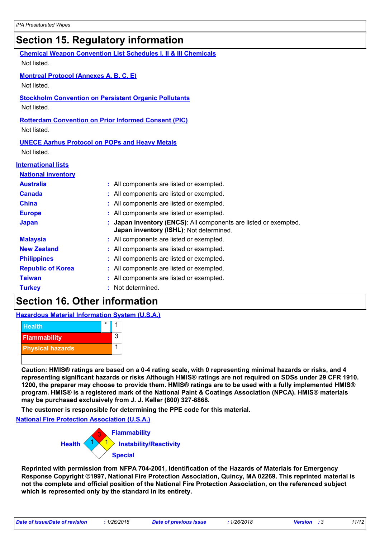### **Section 15. Regulatory information**

| <b>Chemical Weapon Convention List Schedules I, II &amp; III Chemicals</b><br>Not listed. |  |                                                                                                           |  |  |  |
|-------------------------------------------------------------------------------------------|--|-----------------------------------------------------------------------------------------------------------|--|--|--|
| <b>Montreal Protocol (Annexes A, B, C, E)</b><br>Not listed.                              |  |                                                                                                           |  |  |  |
| <b>Stockholm Convention on Persistent Organic Pollutants</b><br>Not listed.               |  |                                                                                                           |  |  |  |
| <b>Rotterdam Convention on Prior Informed Consent (PIC)</b><br>Not listed.                |  |                                                                                                           |  |  |  |
| <b>UNECE Aarhus Protocol on POPs and Heavy Metals</b><br>Not listed.                      |  |                                                                                                           |  |  |  |
| <b>International lists</b>                                                                |  |                                                                                                           |  |  |  |
| <b>National inventory</b>                                                                 |  |                                                                                                           |  |  |  |
| <b>Australia</b>                                                                          |  | : All components are listed or exempted.                                                                  |  |  |  |
| <b>Canada</b>                                                                             |  | : All components are listed or exempted.                                                                  |  |  |  |
| <b>China</b>                                                                              |  | : All components are listed or exempted.                                                                  |  |  |  |
| <b>Europe</b>                                                                             |  | : All components are listed or exempted.                                                                  |  |  |  |
| <b>Japan</b>                                                                              |  | Japan inventory (ENCS): All components are listed or exempted.<br>Japan inventory (ISHL): Not determined. |  |  |  |
| <b>Malaysia</b>                                                                           |  | : All components are listed or exempted.                                                                  |  |  |  |
| <b>New Zealand</b>                                                                        |  | : All components are listed or exempted.                                                                  |  |  |  |
| <b>Philippines</b>                                                                        |  | : All components are listed or exempted.                                                                  |  |  |  |
| <b>Republic of Korea</b>                                                                  |  | : All components are listed or exempted.                                                                  |  |  |  |
| <b>Taiwan</b>                                                                             |  | All components are listed or exempted.                                                                    |  |  |  |
| <b>Turkey</b>                                                                             |  | Not determined.                                                                                           |  |  |  |

### **Section 16. Other information**

**Hazardous Material Information System (U.S.A.)**



**Caution: HMIS® ratings are based on a 0-4 rating scale, with 0 representing minimal hazards or risks, and 4 representing significant hazards or risks Although HMIS® ratings are not required on SDSs under 29 CFR 1910. 1200, the preparer may choose to provide them. HMIS® ratings are to be used with a fully implemented HMIS® program. HMIS® is a registered mark of the National Paint & Coatings Association (NPCA). HMIS® materials may be purchased exclusively from J. J. Keller (800) 327-6868.**

**The customer is responsible for determining the PPE code for this material.**

**National Fire Protection Association (U.S.A.)**



**Reprinted with permission from NFPA 704-2001, Identification of the Hazards of Materials for Emergency Response Copyright ©1997, National Fire Protection Association, Quincy, MA 02269. This reprinted material is not the complete and official position of the National Fire Protection Association, on the referenced subject which is represented only by the standard in its entirety.**